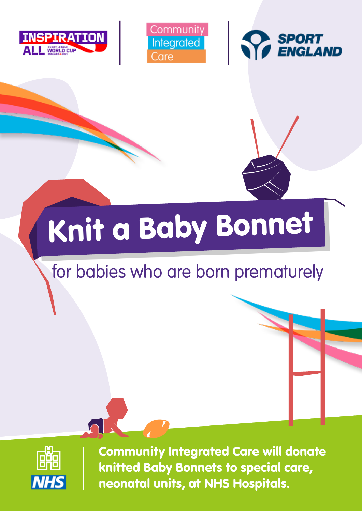





# Knit a Baby Bonnet

# for babies who are born prematurely



Community Integrated Care will donate knitted Baby Bonnets to special care, neonatal units, at NHS Hospitals.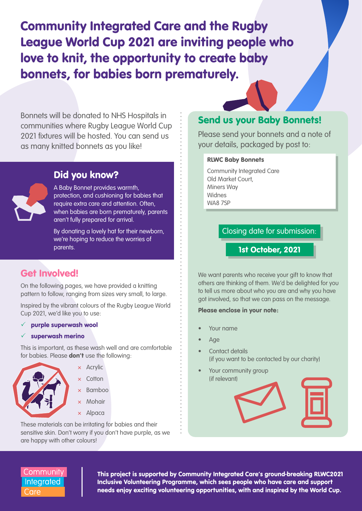Community Integrated Care and the Rugby League World Cup 2021 are inviting people who love to knit, the opportunity to create baby bonnets, for babies born prematurely.

Bonnets will be donated to NHS Hospitals in communities where Rugby League World Cup 2021 fixtures will be hosted. You can send us as many knitted bonnets as you like!

## Did you know?

A Baby Bonnet provides warmth, protection, and cushioning for babies that require extra care and attention. Often, when babies are born prematurely, parents aren't fully prepared for arrival.

By donating a lovely hat for their newborn, we're hoping to reduce the worries of parents.

# Get Involved!

On the following pages, we have provided a knitting pattern to follow, ranging from sizes very small, to large.

Inspired by the vibrant colours of the Rugby League World Cup 2021, we'd like you to use:

#### $\checkmark$  purple superwash wool

 $\checkmark$  superwash merino

This is important, as these wash well and are comfortable for babies. Please **don't** use the following:



 $\times$  Acrylic × Cotton

- × Bamboo
- × Mohair
- × Alpaca

These materials can be irritating for babies and their sensitive skin. Don't worry if you don't have purple, as we are happy with other colours!

## Send us your Baby Bonnets!

Please send your bonnets and a note of your details, packaged by post to:

#### RLWC Baby Bonnets

Community Integrated Care Old Market Court, Miners Way Widnes WA8 7SP

Closing date for submission:

1st October, 2021

We want parents who receive your gift to know that others are thinking of them. We'd be delighted for you to tell us more about who you are and why you have got involved, so that we can pass on the message.

#### Please enclose in your note:

- Your name
- Age
- Contact details (if you want to be contacted by our charity)
- Your community group (if relevant)



### Community **Integrated** Care

This project is supported by Community Integrated Care's ground-breaking RLWC2021 Inclusive Volunteering Programme, which sees people who have care and support needs enjoy exciting volunteering opportunities, with and inspired by the World Cup.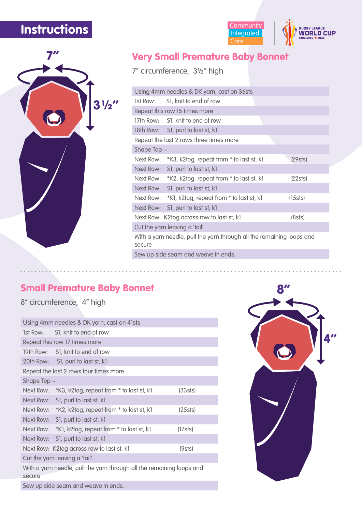# **Instructions**



# Very Small Premature Baby Bonnet

Community<br>
Integrated<br>
Care

**RUGBY LEAGUE<br>WORLD CUP** 

7" circumference, 3½" high

|                                                                                 | Using 4mm needles & DK yarn, cast on 36sts         |         |  |  |
|---------------------------------------------------------------------------------|----------------------------------------------------|---------|--|--|
|                                                                                 | 1st Row: S1, knit to end of row                    |         |  |  |
|                                                                                 | Repeat this row 15 times more                      |         |  |  |
|                                                                                 | 17th Row: S1, knit to end of row                   |         |  |  |
|                                                                                 | 18th Row: S1, purl to last st, k1                  |         |  |  |
|                                                                                 | Repeat the last 2 rows three times more            |         |  |  |
| Shape Top $\sim$                                                                |                                                    |         |  |  |
|                                                                                 | Next Row: *K3, k2tog, repeat from * to last st, k1 | (29sts) |  |  |
|                                                                                 | Next Row: S1, purl to last st, k1                  |         |  |  |
|                                                                                 | Next Row: *K2, k2tog, repeat from * to last st, k1 | (22sts) |  |  |
|                                                                                 | Next Row: S1, purl to last st, k1                  |         |  |  |
|                                                                                 | Next Row: *K1, k2tog, repeat from * to last st, k1 | (15sts) |  |  |
|                                                                                 | Next Row: S1, purl to last st, k1                  |         |  |  |
|                                                                                 | Next Row: K2tog across row to last st, k1          | (8sts)  |  |  |
|                                                                                 | Cut the yarn leaving a 'tail'.                     |         |  |  |
| With a yarn needle, pull the yarn through all the remaining loops and<br>secure |                                                    |         |  |  |
| Sew up side seam and weave in ends.                                             |                                                    |         |  |  |

## Small Premature Baby Bonnet

8" circumference, 4" high

|                                        | Using 4mm needles & DK yarn, cast on 41sts                            |            |  |  |
|----------------------------------------|-----------------------------------------------------------------------|------------|--|--|
|                                        | 1st Row: S1, knit to end of row                                       |            |  |  |
|                                        | Repeat this row 17 times more                                         |            |  |  |
|                                        | 19th Row: S1, knit to end of row                                      |            |  |  |
|                                        | 20th Row: S1, purl to last st, k1                                     |            |  |  |
| Repeat the last 2 rows four times more |                                                                       |            |  |  |
| Shape Top $\sim$                       |                                                                       |            |  |  |
|                                        | Next Row: *K3, k2tog, repeat from * to last st, k1                    | (33sts)    |  |  |
|                                        | Next Row: S1, purl to last st, k1                                     |            |  |  |
|                                        | Next Row: *K2, k2tog, repeat from * to last st, k1                    | $(25s$ ts) |  |  |
|                                        | Next Row: S1, purl to last st, k1                                     |            |  |  |
|                                        | Next Row: *K1, k2tog, repeat from * to last st, k1                    | (17sts)    |  |  |
|                                        | Next Row: S1, purl to last st, k1                                     |            |  |  |
|                                        | Next Row: K2tog across row to last st, k1                             | (9sts)     |  |  |
| Cut the yarn leaving a 'tail'.         |                                                                       |            |  |  |
| secure                                 | With a yarn needle, pull the yarn through all the remaining loops and |            |  |  |
| Sew up side seam and weave in ends     |                                                                       |            |  |  |



Sew up side seam and weave in ends.